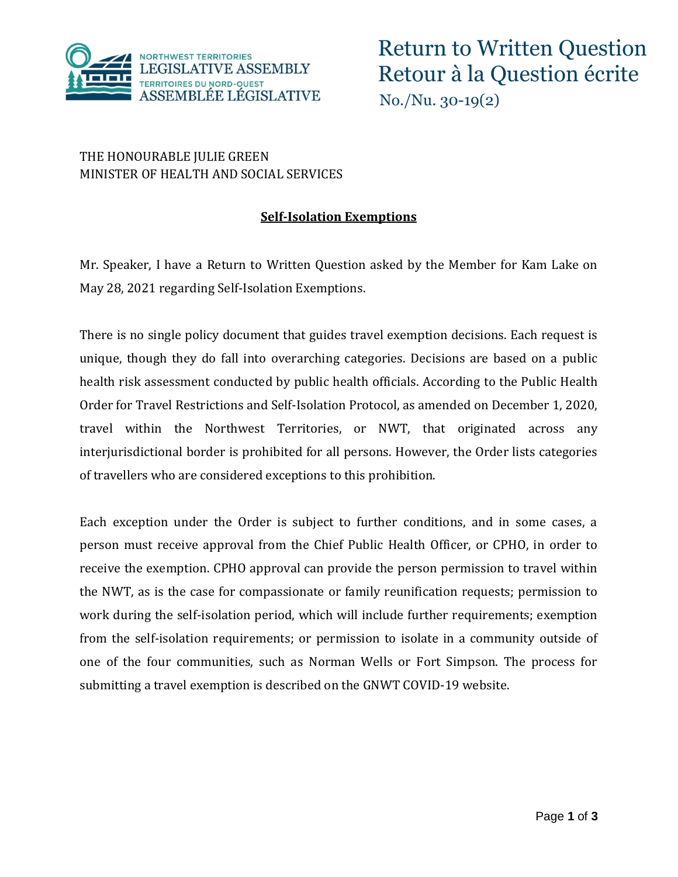

## THE HONOURABLE JULIE GREEN MINISTER OF HEALTH AND SOCIAL SERVICES

## **Self-Isolation Exemptions**

Mr. Speaker, I have a Return to Written Question asked by the Member for Kam Lake on May 28, 2021 regarding Self-Isolation Exemptions.

There is no single policy document that guides travel exemption decisions. Each request is unique, though they do fall into overarching categories. Decisions are based on a public health risk assessment conducted by public health officials. According to the Public Health Order for Travel Restrictions and Self-Isolation Protocol, as amended on December 1, 2020, travel within the Northwest Territories, or NWT, that originated across any interjurisdictional border is prohibited for all persons. However, the Order lists categories of travellers who are considered exceptions to this prohibition.

Each exception under the Order is subject to further conditions, and in some cases, a person must receive approval from the Chief Public Health Officer, or CPHO, in order to receive the exemption. CPHO approval can provide the person permission to travel within the NWT, as is the case for compassionate or family reunification requests; permission to work during the self-isolation period, which will include further requirements; exemption from the self-isolation requirements; or permission to isolate in a community outside of one of the four communities, such as Norman Wells or Fort Simpson. The process for submitting a travel exemption is described on the GNWT COVID-19 website.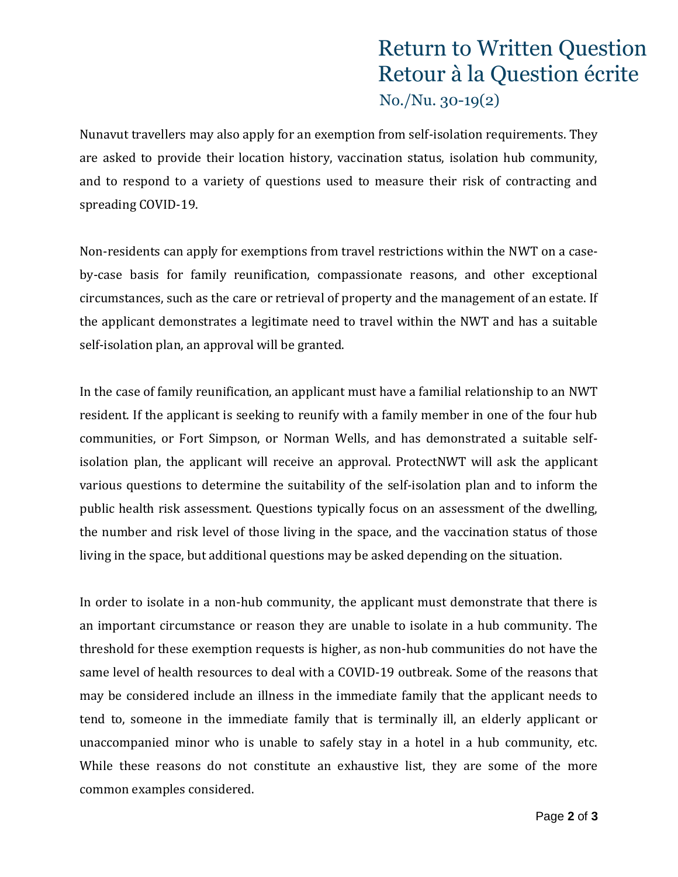## Return to Written Question Retour à la Question écrite No./Nu. 30-19(2)

Nunavut travellers may also apply for an exemption from self-isolation requirements. They are asked to provide their location history, vaccination status, isolation hub community, and to respond to a variety of questions used to measure their risk of contracting and spreading COVID-19.

Non-residents can apply for exemptions from travel restrictions within the NWT on a caseby-case basis for family reunification, compassionate reasons, and other exceptional circumstances, such as the care or retrieval of property and the management of an estate. If the applicant demonstrates a legitimate need to travel within the NWT and has a suitable self-isolation plan, an approval will be granted.

In the case of family reunification, an applicant must have a familial relationship to an NWT resident. If the applicant is seeking to reunify with a family member in one of the four hub communities, or Fort Simpson, or Norman Wells, and has demonstrated a suitable selfisolation plan, the applicant will receive an approval. ProtectNWT will ask the applicant various questions to determine the suitability of the self-isolation plan and to inform the public health risk assessment. Questions typically focus on an assessment of the dwelling, the number and risk level of those living in the space, and the vaccination status of those living in the space, but additional questions may be asked depending on the situation.

In order to isolate in a non-hub community, the applicant must demonstrate that there is an important circumstance or reason they are unable to isolate in a hub community. The threshold for these exemption requests is higher, as non-hub communities do not have the same level of health resources to deal with a COVID-19 outbreak. Some of the reasons that may be considered include an illness in the immediate family that the applicant needs to tend to, someone in the immediate family that is terminally ill, an elderly applicant or unaccompanied minor who is unable to safely stay in a hotel in a hub community, etc. While these reasons do not constitute an exhaustive list, they are some of the more common examples considered.